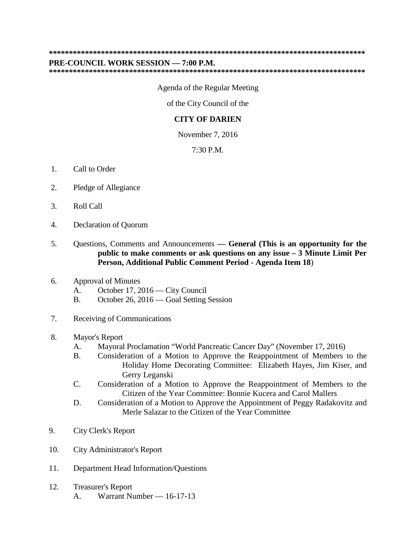## **\*\*\*\*\*\*\*\*\*\*\*\*\*\*\*\*\*\*\*\*\*\*\*\*\*\*\*\*\*\*\*\*\*\*\*\*\*\*\*\*\*\*\*\*\*\*\*\*\*\*\*\*\*\*\*\*\*\*\*\*\*\*\*\*\*\*\*\*\*\*\*\*\*\*\*\*\*\*\***

## **PRE-COUNCIL WORK SESSION — 7:00 P.M.**

**\*\*\*\*\*\*\*\*\*\*\*\*\*\*\*\*\*\*\*\*\*\*\*\*\*\*\*\*\*\*\*\*\*\*\*\*\*\*\*\*\*\*\*\*\*\*\*\*\*\*\*\*\*\*\*\*\*\*\*\*\*\*\*\*\*\*\*\*\*\*\*\*\*\*\*\*\*\*\***

Agenda of the Regular Meeting

of the City Council of the

## **CITY OF DARIEN**

November 7, 2016

7:30 P.M.

- 1. Call to Order
- 2. Pledge of Allegiance
- 3. Roll Call
- 4. Declaration of Quorum
- 5. Questions, Comments and Announcements **— General (This is an opportunity for the public to make comments or ask questions on any issue – 3 Minute Limit Per Person, Additional Public Comment Period - Agenda Item 18**)
- 6. Approval of Minutes
	- A. October 17, 2016 City Council
	- B. October 26, 2016 Goal Setting Session
- 7. Receiving of Communications
- 8. Mayor's Report
	- A. Mayoral Proclamation "World Pancreatic Cancer Day" (November 17, 2016)
	- B. Consideration of a Motion to Approve the Reappointment of Members to the Holiday Home Decorating Committee: Elizabeth Hayes, Jim Kiser, and Gerry Leganski
	- C. Consideration of a Motion to Approve the Reappointment of Members to the Citizen of the Year Committee: Bonnie Kucera and Carol Mallers
	- D. Consideration of a Motion to Approve the Appointment of Peggy Radakovitz and Merle Salazar to the Citizen of the Year Committee
- 9. City Clerk's Report
- 10. City Administrator's Report
- 11. Department Head Information/Questions
- 12. Treasurer's Report A. Warrant Number — 16-17-13